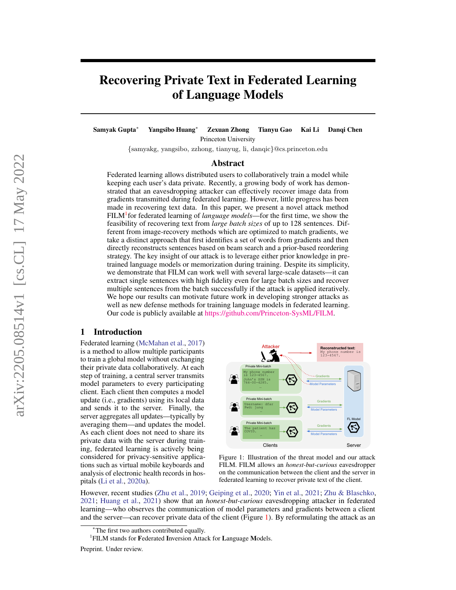# Recovering Private Text in Federated Learning of Language Models

Samyak Gupta<sup>∗</sup> Yangsibo Huang<sup>∗</sup> Zexuan Zhong Tianyu Gao Kai Li Danqi Chen Princeton University

{samyakg, yangsibo, zzhong, tianyug, li, danqic}@cs.princeton.edu

## Abstract

Federated learning allows distributed users to collaboratively train a model while keeping each user's data private. Recently, a growing body of work has demonstrated that an eavesdropping attacker can effectively recover image data from gradients transmitted during federated learning. However, little progress has been made in recovering text data. In this paper, we present a novel attack method FILM<sup>1</sup> for federated learning of *language models*—for the first time, we show the feasibility of recovering text from *large batch sizes* of up to 128 sentences. Different from image-recovery methods which are optimized to match gradients, we take a distinct approach that first identifies a set of words from gradients and then directly reconstructs sentences based on beam search and a prior-based reordering strategy. The key insight of our attack is to leverage either prior knowledge in pretrained language models or memorization during training. Despite its simplicity, we demonstrate that FILM can work well with several large-scale datasets—it can extract single sentences with high fidelity even for large batch sizes and recover multiple sentences from the batch successfully if the attack is applied iteratively. We hope our results can motivate future work in developing stronger attacks as well as new defense methods for training language models in federated learning. Our code is publicly available at [https://github.com/Princeton-SysML/FILM.](https://github.com/Princeton-SysML/FILM)

## 1 Introduction

Federated learning [\(McMahan et al.,](#page-11-0) [2017\)](#page-11-0) is a method to allow multiple participants to train a global model without exchanging their private data collaboratively. At each step of training, a central server transmits model parameters to every participating client. Each client then computes a model update (i.e., gradients) using its local data and sends it to the server. Finally, the server aggregates all updates—typically by averaging them—and updates the model. As each client does not need to share its private data with the server during training, federated learning is actively being considered for privacy-sensitive applications such as virtual mobile keyboards and analysis of electronic health records in hospitals [\(Li et al.,](#page-11-1) [2020a\)](#page-11-1).

<span id="page-0-0"></span>

Figure 1: Illustration of the threat model and our attack FILM. FILM allows an *honest-but-curious* eavesdropper on the communication between the client and the server in federated learning to recover private text of the client.

However, recent studies [\(Zhu et al.,](#page-12-0) [2019;](#page-12-0) [Geiping et al.,](#page-10-0) [2020;](#page-10-0) [Yin et al.,](#page-12-1) [2021;](#page-12-1) [Zhu & Blaschko,](#page-12-2) [2021;](#page-12-2) [Huang et al.,](#page-11-2) [2021\)](#page-11-2) show that an *honest-but-curious* eavesdropping attacker in federated learning—who observes the communication of model parameters and gradients between a client and the server—can recover private data of the client (Figure [1\)](#page-0-0). By reformulating the attack as an

<sup>∗</sup>The first two authors contributed equally.

<sup>&</sup>lt;sup>1</sup>FILM stands for Federated Inversion Attack for Language Models.

Preprint. Under review.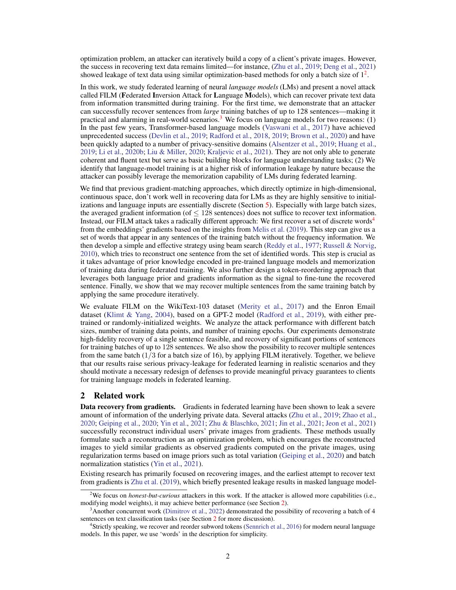optimization problem, an attacker can iteratively build a copy of a client's private images. However, the success in recovering text data remains limited—for instance, [\(Zhu et al.,](#page-12-0) [2019;](#page-12-0) [Deng et al.,](#page-10-1) [2021\)](#page-10-1) showed leakage of text data using similar optimization-based methods for only a batch size of  $1<sup>2</sup>$  $1<sup>2</sup>$  $1<sup>2</sup>$ .

In this work, we study federated learning of neural *language models* (LMs) and present a novel attack called FILM (Federated Inversion Attack for Language Models), which can recover private text data from information transmitted during training. For the first time, we demonstrate that an attacker can successfully recover sentences from *large* training batches of up to 128 sentences—making it practical and alarming in real-world scenarios.<sup>[3](#page-1-1)</sup> We focus on language models for two reasons: (1) In the past few years, Transformer-based language models [\(Vaswani et al.,](#page-12-3) [2017\)](#page-12-3) have achieved unprecedented success [\(Devlin et al.,](#page-10-2) [2019;](#page-10-2) [Radford et al.,](#page-12-4) [2018,](#page-12-4) [2019;](#page-12-5) [Brown et al.,](#page-10-3) [2020\)](#page-10-3) and have been quickly adapted to a number of privacy-sensitive domains [\(Alsentzer et al.,](#page-10-4) [2019;](#page-10-4) [Huang et al.,](#page-11-3) [2019;](#page-11-3) [Li et al.,](#page-11-4) [2020b;](#page-11-4) [Liu & Miller,](#page-11-5) [2020;](#page-11-5) [Kraljevic et al.,](#page-11-6) [2021\)](#page-11-6). They are not only able to generate coherent and fluent text but serve as basic building blocks for language understanding tasks; (2) We identify that language-model training is at a higher risk of information leakage by nature because the attacker can possibly leverage the memorization capability of LMs during federated learning.

We find that previous gradient-matching approaches, which directly optimize in high-dimensional, continuous space, don't work well in recovering data for LMs as they are highly sensitive to initializations and language inputs are essentially discrete (Section [5\)](#page-5-0). Especially with large batch sizes, the averaged gradient information (of  $\leq$  128 sentences) does not suffice to recover text information. Instead, our FILM attack takes a radically different approach: We first recover a set of discrete words<sup>[4](#page-1-2)</sup> from the embeddings' gradients based on the insights from [Melis et al.](#page-11-7) [\(2019\)](#page-11-7). This step can give us a set of words that appear in any sentences of the training batch without the frequency information. We then develop a simple and effective strategy using beam search [\(Reddy et al.,](#page-12-6) [1977;](#page-12-6) [Russell & Norvig,](#page-12-7) [2010\)](#page-12-7), which tries to reconstruct one sentence from the set of identified words. This step is crucial as it takes advantage of prior knowledge encoded in pre-trained language models and memorization of training data during federated training. We also further design a token-reordering approach that leverages both language prior and gradients information as the signal to fine-tune the recovered sentence. Finally, we show that we may recover multiple sentences from the same training batch by applying the same procedure iteratively.

We evaluate FILM on the WikiText-103 dataset [\(Merity et al.,](#page-12-8) [2017\)](#page-12-8) and the Enron Email dataset [\(Klimt & Yang,](#page-11-8) [2004\)](#page-11-8), based on a GPT-2 model [\(Radford et al.,](#page-12-5) [2019\)](#page-12-5), with either pretrained or randomly-initialized weights. We analyze the attack performance with different batch sizes, number of training data points, and number of training epochs. Our experiments demonstrate high-fidelity recovery of a single sentence feasible, and recovery of significant portions of sentences for training batches of up to 128 sentences. We also show the possibility to recover multiple sentences from the same batch (1/3 for a batch size of 16), by applying FILM iteratively. Together, we believe that our results raise serious privacy-leakage for federated learning in realistic scenarios and they should motivate a necessary redesign of defenses to provide meaningful privacy guarantees to clients for training language models in federated learning.

## <span id="page-1-3"></span>2 Related work

**Data recovery from gradients.** Gradients in federated learning have been shown to leak a severe amount of information of the underlying private data. Several attacks [\(Zhu et al.,](#page-12-0) [2019;](#page-12-0) [Zhao et al.,](#page-12-9) [2020;](#page-12-9) [Geiping et al.,](#page-10-0) [2020;](#page-10-0) [Yin et al.,](#page-12-1) [2021;](#page-12-1) [Zhu & Blaschko,](#page-12-2) [2021;](#page-12-2) [Jin et al.,](#page-11-9) [2021;](#page-11-9) [Jeon et al.,](#page-11-10) [2021\)](#page-11-10) successfully reconstruct individual users' private images from gradients. These methods usually formulate such a reconstruction as an optimization problem, which encourages the reconstructed images to yield similar gradients as observed gradients computed on the private images, using regularization terms based on image priors such as total variation [\(Geiping et al.,](#page-10-0) [2020\)](#page-10-0) and batch normalization statistics [\(Yin et al.,](#page-12-1) [2021\)](#page-12-1).

Existing research has primarily focused on recovering images, and the earliest attempt to recover text from gradients is [Zhu et al.](#page-12-0) [\(2019\)](#page-12-0), which briefly presented leakage results in masked language model-

<span id="page-1-0"></span><sup>&</sup>lt;sup>2</sup>We focus on *honest-but-curious* attackers in this work. If the attacker is allowed more capabilities (i.e., modifying model weights), it may achieve better performance (see Section [2\)](#page-1-3).

<span id="page-1-1"></span><sup>&</sup>lt;sup>3</sup>Another concurrent work [\(Dimitrov et al.,](#page-10-5) [2022\)](#page-10-5) demonstrated the possibility of recovering a batch of 4 sentences on text classification tasks (see Section [2](#page-1-3) for more discussion).

<span id="page-1-2"></span><sup>4</sup> Strictly speaking, we recover and reorder subword tokens [\(Sennrich et al.,](#page-12-10) [2016\)](#page-12-10) for modern neural language models. In this paper, we use 'words' in the description for simplicity.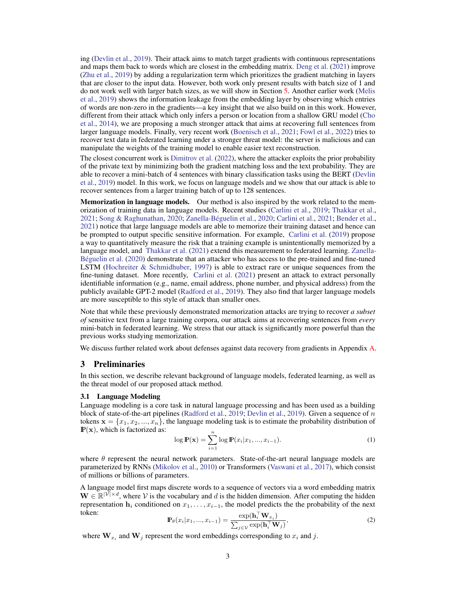ing [\(Devlin et al.,](#page-10-2) [2019\)](#page-10-2). Their attack aims to match target gradients with continuous representations and maps them back to words which are closest in the embedding matrix. [Deng et al.](#page-10-1) [\(2021\)](#page-10-1) improve [\(Zhu et al.,](#page-12-0) [2019\)](#page-12-0) by adding a regularization term which prioritizes the gradient matching in layers that are closer to the input data. However, both work only present results with batch size of 1 and do not work well with larger batch sizes, as we will show in Section [5.](#page-5-0) Another earlier work [\(Melis](#page-11-7) [et al.,](#page-11-7) [2019\)](#page-11-7) shows the information leakage from the embedding layer by observing which entries of words are non-zero in the gradients—a key insight that we also build on in this work. However, different from their attack which only infers a person or location from a shallow GRU model [\(Cho](#page-10-6) [et al.,](#page-10-6) [2014\)](#page-10-6), we are proposing a much stronger attack that aims at recovering full sentences from larger language models. Finally, very recent work [\(Boenisch et al.,](#page-10-7) [2021;](#page-10-7) [Fowl et al.,](#page-10-8) [2022\)](#page-10-8) tries to recover text data in federated learning under a stronger threat model: the server is malicious and can manipulate the weights of the training model to enable easier text reconstruction.

The closest concurrent work is [Dimitrov et al.](#page-10-5) [\(2022\)](#page-10-5), where the attacker exploits the prior probability of the private text by minimizing both the gradient matching loss and the text probability. They are able to recover a mini-batch of 4 sentences with binary classification tasks using the BERT [\(Devlin](#page-10-2) [et al.,](#page-10-2) [2019\)](#page-10-2) model. In this work, we focus on language models and we show that our attack is able to recover sentences from a larger training batch of up to 128 sentences.

**Memorization in language models.** Our method is also inspired by the work related to the memorization of training data in language models. Recent studies [\(Carlini et al.,](#page-10-9) [2019;](#page-10-9) [Thakkar et al.,](#page-12-11) [2021;](#page-12-11) [Song & Raghunathan,](#page-12-12) [2020;](#page-12-12) [Zanella-Béguelin et al.,](#page-12-13) [2020;](#page-12-13) [Carlini et al.,](#page-10-10) [2021;](#page-10-10) [Bender et al.,](#page-10-11) [2021\)](#page-10-11) notice that large language models are able to memorize their training dataset and hence can be prompted to output specific sensitive information. For example, [Carlini et al.](#page-10-9) [\(2019\)](#page-10-9) propose a way to quantitatively measure the risk that a training example is unintentionally memorized by a language model, and [Thakkar et al.](#page-12-11) [\(2021\)](#page-12-11) extend this measurement to federated learning. [Zanella-](#page-12-13)[Béguelin et al.](#page-12-13) [\(2020\)](#page-12-13) demonstrate that an attacker who has access to the pre-trained and fine-tuned LSTM (Hochreiter  $&$  Schmidhuber, [1997\)](#page-11-11) is able to extract rare or unique sequences from the fine-tuning dataset. More recently, [Carlini et al.](#page-10-10) [\(2021\)](#page-10-10) present an attack to extract personally identifiable information (e.g., name, email address, phone number, and physical address) from the publicly available GPT-2 model [\(Radford et al.,](#page-12-5) [2019\)](#page-12-5). They also find that larger language models are more susceptible to this style of attack than smaller ones.

Note that while these previously demonstrated memorization attacks are trying to recover *a subset of* sensitive text from a large training corpora, our attack aims at recovering sentences from *every* mini-batch in federated learning. We stress that our attack is significantly more powerful than the previous works studying memorization.

We discuss further related work about defenses against data recovery from gradients in Appendix [A.](#page-13-0)

# 3 Preliminaries

In this section, we describe relevant background of language models, federated learning, as well as the threat model of our proposed attack method.

#### 3.1 Language Modeling

Language modeling is a core task in natural language processing and has been used as a building block of state-of-the-art pipelines [\(Radford et al.,](#page-12-5) [2019;](#page-12-5) [Devlin et al.,](#page-10-2) [2019\)](#page-10-2). Given a sequence of  $n$ tokens  $\mathbf{x} = \{x_1, x_2, ..., x_n\}$ , the language modeling task is to estimate the probability distribution of  $\mathbb{P}(\mathbf{x})$ , which is factorized as:

<span id="page-2-0"></span>
$$
\log \mathbb{P}(\mathbf{x}) = \sum_{i=1}^{n} \log \mathbb{P}(x_i | x_1, ..., x_{i-1}).
$$
 (1)

where  $\theta$  represent the neural network parameters. State-of-the-art neural language models are parameterized by RNNs [\(Mikolov et al.,](#page-12-14) [2010\)](#page-12-14) or Transformers [\(Vaswani et al.,](#page-12-3) [2017\)](#page-12-3), which consist of millions or billions of parameters.

A language model first maps discrete words to a sequence of vectors via a word embedding matrix  $\mathbf{W} \in \mathbb{R}^{|\mathcal{V}| \times d}$ , where V is the vocabulary and d is the hidden dimension. After computing the hidden representation  $h_i$  conditioned on  $x_1, \ldots, x_{i-1}$ , the model predicts the the probability of the next token:  $\top$ 

$$
\mathbb{P}_{\theta}(x_i|x_1,...,x_{i-1}) = \frac{\exp(\mathbf{h}_i^\top \mathbf{W}_{x_i})}{\sum_{j \in \mathcal{V}} \exp(\mathbf{h}_i^\top \mathbf{W}_j)},\tag{2}
$$

where  $W_{x_i}$  and  $W_j$  represent the word embeddings corresponding to  $x_i$  and j.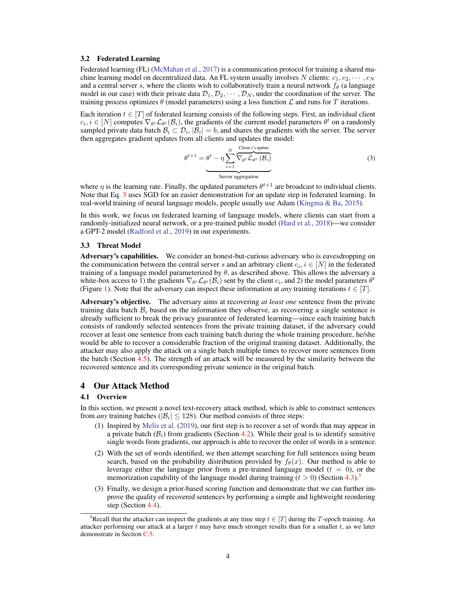#### 3.2 Federated Learning

Federated learning (FL) [\(McMahan et al.,](#page-11-0) [2017\)](#page-11-0) is a communication protocol for training a shared machine learning model on decentralized data. An FL system usually involves N clients:  $c_1, c_2, \cdots, c_N$ and a central server s, where the clients wish to collaboratively train a neural network  $f_\theta$  (a language model in our case) with their private data  $\mathcal{D}_1, \mathcal{D}_2, \cdots, \mathcal{D}_N$ , under the coordination of the server. The training process optimizes  $\theta$  (model parameters) using a loss function  $\mathcal L$  and runs for T iterations.

Each iteration  $t \in [T]$  of federated learning consists of the following steps. First, an individual client  $c_i, i \in [N]$  computes  $\nabla_{\theta^t} \mathcal{L}_{\theta^t}(\mathcal{B}_i)$ , the gradients of the current model parameters  $\theta^t$  on a randomly sampled private data batch  $\mathcal{B}_i \subset \mathcal{D}_i$ ,  $|\mathcal{B}_i| = b$ , and shares the gradients with the server. The server then aggregates gradient updates from all clients and updates the model:

<span id="page-3-0"></span>
$$
\theta^{t+1} = \theta^t - \eta \sum_{i=1}^N \overbrace{\nabla_{\theta^t} \mathcal{L}_{\theta^t} (B_i)}^{\text{Client } i \text{'s update}}
$$
\n
$$
\text{Server aggregation}
$$
\n(3)

where  $\eta$  is the learning rate. Finally, the updated parameters  $\theta^{t+1}$  are broadcast to individual clients. Note that Eq. [3](#page-3-0) uses SGD for an easier demonstration for an update step in federated learning. In real-world training of neural language models, people usually use Adam [\(Kingma & Ba,](#page-11-12) [2015\)](#page-11-12).

In this work, we focus on federated learning of language models, where clients can start from a randomly-initialized neural network, or a pre-trained public model [\(Hard et al.,](#page-10-12) [2018\)](#page-10-12)—we consider a GPT-2 model [\(Radford et al.,](#page-12-5) [2019\)](#page-12-5) in our experiments.

#### 3.3 Threat Model

Adversary's capabilities. We consider an honest-but-curious adversary who is eavesdropping on the communication between the central server s and an arbitrary client  $c_i, i \in [N]$  in the federated training of a language model parameterized by  $\theta$ , as described above. This allows the adversary a white-box access to 1) the gradients  $\nabla_{\theta^t} \mathcal{L}_{\theta^t}(\mathcal{B}_i)$  sent by the client  $c_i$ , and 2) the model parameters  $\theta^t$ (Figure [1\)](#page-0-0). Note that the adversary can inspect these information at *any* training iterations  $t \in [T]$ .

Adversary's objective. The adversary aims at recovering *at least one* sentence from the private training data batch  $\mathcal{B}_i$  based on the information they observe, as recovering a single sentence is already sufficient to break the privacy guarantee of federated learning—since each training batch consists of randomly selected sentences from the private training dataset, if the adversary could recover at least one sentence from each training batch during the whole training procedure, he/she would be able to recover a considerable fraction of the original training dataset. Additionally, the attacker may also apply the attack on a single batch multiple times to recover more sentences from the batch (Section [4.5\)](#page-5-1). The strength of an attack will be measured by the similarity between the recovered sentence and its corresponding private sentence in the original batch.

# 4 Our Attack Method

#### 4.1 Overview

In this section, we present a novel text-recovery attack method, which is able to construct sentences from *any* training batches ( $|\mathcal{B}_i| \leq 128$ ). Our method consists of three steps:

- (1) Inspired by [Melis et al.](#page-11-7) [\(2019\)](#page-11-7), our first step is to recover a set of words that may appear in a private batch  $(\mathcal{B}_i)$  from gradients (Section [4.2\)](#page-4-0). While their goal is to identify sensitive single words from gradients, our approach is able to recover the order of words in a sentence.
- (2) With the set of words identified, we then attempt searching for full sentences using beam search, based on the probability distribution provided by  $f_{\theta}(x)$ . Our method is able to leverage either the language prior from a pre-trained language model  $(t = 0)$ , or the memorization capability of the language model during training  $(t > 0)$  (Section [4.3\)](#page-4-1).<sup>[5](#page-3-1)</sup>
- (3) Finally, we design a prior-based scoring function and demonstrate that we can further improve the quality of recovered sentences by performing a simple and lightweight reordering step (Section [4.4\)](#page-5-2).

<span id="page-3-1"></span><sup>&</sup>lt;sup>5</sup>Recall that the attacker can inspect the gradients at any time step  $t \in [T]$  during the T-epoch training. An attacker performing our attack at a larger  $t$  may have much stronger results than for a smaller  $t$ , as we later demonstrate in Section [C.5.](#page-15-0)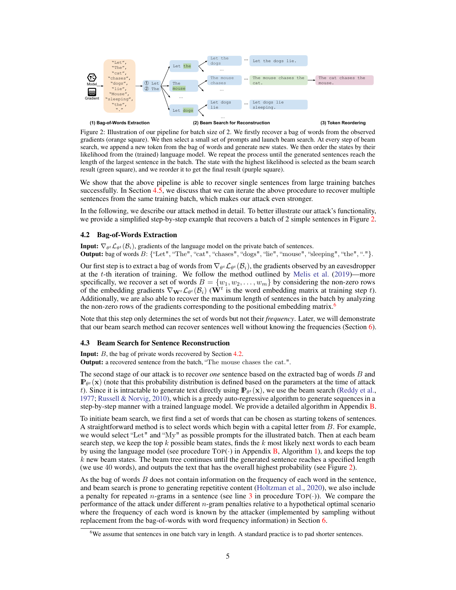<span id="page-4-2"></span>

Figure 2: Illustration of our pipeline for batch size of 2. We firstly recover a bag of words from the observed gradients (orange square). We then select a small set of prompts and launch beam search. At every step of beam search, we append a new token from the bag of words and generate new states. We then order the states by their likelihood from the (trained) language model. We repeat the process until the generated sentences reach the length of the largest sentence in the batch. The state with the highest likelihood is selected as the beam search result (green square), and we reorder it to get the final result (purple square).

We show that the above pipeline is able to recover single sentences from large training batches successfully. In Section [4.5,](#page-5-1) we discuss that we can iterate the above procedure to recover multiple sentences from the same training batch, which makes our attack even stronger.

In the following, we describe our attack method in detail. To better illustrate our attack's functionality, we provide a simplified step-by-step example that recovers a batch of 2 simple sentences in Figure [2.](#page-4-2)

#### <span id="page-4-0"></span>4.2 Bag-of-Words Extraction

**Input:**  $\nabla_{\theta^t} \mathcal{L}_{\theta^t}(\mathcal{B}_i)$ , gradients of the language model on the private batch of sentences.

Output: bag of words B: {"Let", "The", "cat", "chases", "dogs", "lie", "mouse", "sleeping", "the", "."}.

Our first step is to extract a bag of words from  $\nabla_{\theta^t}\mathcal{L}_{\theta^t}(\mathcal{B}_i)$ , the gradients observed by an eavesdropper at the t-th iteration of training. We follow the method outlined by [Melis et al.](#page-11-7) [\(2019\)](#page-11-7)—more specifically, we recover a set of words  $B = \{w_1, w_2, \dots, w_m\}$  by considering the non-zero rows of the embedding gradients  $\nabla_{\mathbf{W}^t} \mathcal{L}_{\theta^t}(\mathcal{B}_i)$  ( $\dot{\mathbf{W}}^t$  is the word embedding matrix at training step t). Additionally, we are also able to recover the maximum length of sentences in the batch by analyzing the non-zero rows of the gradients corresponding to the positional embedding matrix.<sup>[6](#page-4-3)</sup>

Note that this step only determines the set of words but not their *frequency*. Later, we will demonstrate that our beam search method can recover sentences well without knowing the frequencies (Section [6\)](#page-8-0).

#### <span id="page-4-1"></span>4.3 Beam Search for Sentence Reconstruction

**Input:** B, the bag of private words recovered by Section [4.2.](#page-4-0)

Output: a recovered sentence from the batch, "The mouse chases the cat.".

The second stage of our attack is to recover *one* sentence based on the extracted bag of words B and  $\mathbb{P}_{\theta^t}(\mathbf{x})$  (note that this probability distribution is defined based on the parameters at the time of attack t). Since it is intractable to generate text directly using  $\mathbf{P}_{\theta^t}(\mathbf{x})$ , we use the beam search [\(Reddy et al.,](#page-12-6) [1977;](#page-12-6) [Russell & Norvig,](#page-12-7) [2010\)](#page-12-7), which is a greedy auto-regressive algorithm to generate sequences in a step-by-step manner with a trained language model. We provide a detailed algorithm in Appendix [B.](#page-13-1)

To initiate beam search, we first find a set of words that can be chosen as starting tokens of sentences. A straightforward method is to select words which begin with a capital letter from B. For example, we would select "Let" and "My" as possible prompts for the illustrated batch. Then at each beam search step, we keep the top k possible beam states, finds the k most likely next words to each beam by using the language model (see procedure  $Top(\cdot)$  in Appendix [B,](#page-13-1) Algorithm [1\)](#page-13-2), and keeps the top  $k$  new beam states. The beam tree continues until the generated sentence reaches a specified length (we use 40 words), and outputs the text that has the overall highest probability (see Figure [2\)](#page-4-2).

As the bag of words B does not contain information on the frequency of each word in the sentence, and beam search is prone to generating repetitive content [\(Holtzman et al.,](#page-11-13) [2020\)](#page-11-13), we also include a penalty for repeated *n*-grams in a sentence (see line [3](#page-13-3) in procedure TOP( $\cdot$ )). We compare the performance of the attack under different  $n$ -gram penalties relative to a hypothetical optimal scenario where the frequency of each word is known by the attacker (implemented by sampling without replacement from the bag-of-words with word frequency information) in Section [6.](#page-8-0)

<span id="page-4-3"></span><sup>&</sup>lt;sup>6</sup>We assume that sentences in one batch vary in length. A standard practice is to pad shorter sentences.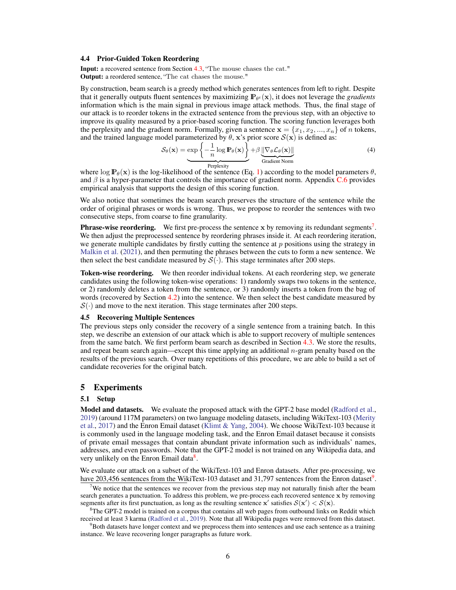#### <span id="page-5-2"></span>4.4 Prior-Guided Token Reordering

Input: a recovered sentence from Section [4.3,](#page-4-1) "The mouse chases the cat." Output: a reordered sentence, "The cat chases the mouse."

By construction, beam search is a greedy method which generates sentences from left to right. Despite that it generally outputs fluent sentences by maximizing  $\mathbb{P}_{\theta^t}(\mathbf{x})$ , it does not leverage the *gradients* information which is the main signal in previous image attack methods. Thus, the final stage of our attack is to reorder tokens in the extracted sentence from the previous step, with an objective to improve its quality measured by a prior-based scoring function. The scoring function leverages both the perplexity and the gradient norm. Formally, given a sentence  $\mathbf{x} = \{x_1, x_2, ..., x_n\}$  of n tokens, and the trained language model parameterized by  $\theta$ , x's prior score  $\mathcal{S}(\mathbf{x})$  is defined as:

$$
S_{\theta}(\mathbf{x}) = \underbrace{\exp\left\{-\frac{1}{n}\log\mathbf{P}_{\theta}(\mathbf{x})\right\}}_{\text{Perplexity}} + \beta \underbrace{\|\nabla_{\theta} \mathcal{L}_{\theta}(\mathbf{x})\|}_{\text{Gradient Norm}}
$$
(4)

<span id="page-5-6"></span>where  $\log \mathbb{P}_{\theta}(\mathbf{x})$  is the log-likelihood of the sentence (Eq. [1\)](#page-2-0) according to the model parameters  $\theta$ , and  $\beta$  is a hyper-parameter that controls the importance of gradient norm. Appendix [C.6](#page-16-0) provides empirical analysis that supports the design of this scoring function.

We also notice that sometimes the beam search preserves the structure of the sentence while the order of original phrases or words is wrong. Thus, we propose to reorder the sentences with two consecutive steps, from coarse to fine granularity.

**Phrase-wise reordering.** We first pre-process the sentence  $x$  by removing its redundant segments<sup>[7](#page-5-3)</sup>. We then adjust the preprocessed sentence by reordering phrases inside it. At each reordering iteration, we generate multiple candidates by firstly cutting the sentence at  $p$  positions using the strategy in [Malkin et al.](#page-11-14) [\(2021\)](#page-11-14), and then permuting the phrases between the cuts to form a new sentence. We then select the best candidate measured by  $S(\cdot)$ . This stage terminates after 200 steps.

Token-wise reordering. We then reorder individual tokens. At each reordering step, we generate candidates using the following token-wise operations: 1) randomly swaps two tokens in the sentence, or 2) randomly deletes a token from the sentence, or 3) randomly inserts a token from the bag of words (recovered by Section [4.2\)](#page-4-0) into the sentence. We then select the best candidate measured by  $S(\cdot)$  and move to the next iteration. This stage terminates after 200 steps.

#### <span id="page-5-1"></span>4.5 Recovering Multiple Sentences

The previous steps only consider the recovery of a single sentence from a training batch. In this step, we describe an extension of our attack which is able to support recovery of multiple sentences from the same batch. We first perform beam search as described in Section [4.3.](#page-4-1) We store the results, and repeat beam search again—except this time applying an additional n-gram penalty based on the results of the previous search. Over many repetitions of this procedure, we are able to build a set of candidate recoveries for the original batch.

## <span id="page-5-0"></span>5 Experiments

#### 5.1 Setup

Model and datasets. We evaluate the proposed attack with the GPT-2 base model [\(Radford et al.,](#page-12-5) [2019\)](#page-12-5) (around 117M parameters) on two language modeling datasets, including WikiText-103 [\(Merity](#page-12-8) [et al.,](#page-12-8) [2017\)](#page-12-8) and the Enron Email dataset [\(Klimt & Yang,](#page-11-8) [2004\)](#page-11-8). We choose WikiText-103 because it is commonly used in the language modeling task, and the Enron Email dataset because it consists of private email messages that contain abundant private information such as individuals' names, addresses, and even passwords. Note that the GPT-2 model is not trained on any Wikipedia data, and very unlikely on the Enron Email data<sup>[8](#page-5-4)</sup>.

We evaluate our attack on a subset of the WikiText-103 and Enron datasets. After pre-processing, we have 203,456 sentences from the WikiText-103 dataset and 31,7[9](#page-5-5)7 sentences from the Enron dataset<sup>9</sup>.

<span id="page-5-3"></span>We notice that the sentences we recover from the previous step may not naturally finish after the beam search generates a punctuation. To address this problem, we pre-process each recovered sentence x by removing segments after its first punctuation, as long as the resulting sentence  $x'$  satisfies  $S(x') < S(x)$ .

<span id="page-5-4"></span><sup>8</sup>The GPT-2 model is trained on a corpus that contains all web pages from outbound links on Reddit which received at least 3 karma [\(Radford et al.,](#page-12-5) [2019\)](#page-12-5). Note that all Wikipedia pages were removed from this dataset.

<span id="page-5-5"></span><sup>9</sup>Both datasets have longer context and we preprocess them into sentences and use each sentence as a training instance. We leave recovering longer paragraphs as future work.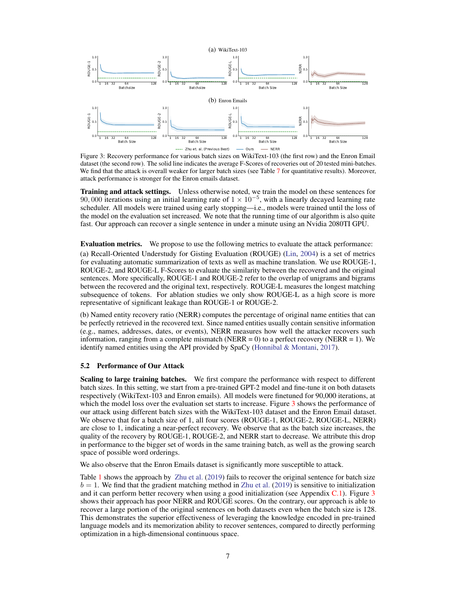<span id="page-6-0"></span>

Figure 3: Recovery performance for various batch sizes on WikiText-103 (the first row) and the Enron Email dataset (the second row). The solid line indicates the average F-Scores of recoveries out of 20 tested mini-batches. We find that the attack is overall weaker for larger batch sizes (see Table [7](#page-14-0) for quantitative results). Moreover, attack performance is stronger for the Enron emails dataset.

Training and attack settings. Unless otherwise noted, we train the model on these sentences for 90, 000 iterations using an initial learning rate of  $1 \times 10^{-5}$ , with a linearly decayed learning rate scheduler. All models were trained using early stopping—i.e., models were trained until the loss of the model on the evaluation set increased. We note that the running time of our algorithm is also quite fast. Our approach can recover a single sentence in under a minute using an Nvidia 2080TI GPU.

Evaluation metrics. We propose to use the following metrics to evaluate the attack performance:

(a) Recall-Oriented Understudy for Gisting Evaluation (ROUGE) [\(Lin,](#page-11-15) [2004\)](#page-11-15) is a set of metrics for evaluating automatic summarization of texts as well as machine translation. We use ROUGE-1, ROUGE-2, and ROUGE-L F-Scores to evaluate the similarity between the recovered and the original sentences. More specifically, ROUGE-1 and ROUGE-2 refer to the overlap of unigrams and bigrams between the recovered and the original text, respectively. ROUGE-L measures the longest matching subsequence of tokens. For ablation studies we only show ROUGE-L as a high score is more representative of significant leakage than ROUGE-1 or ROUGE-2.

(b) Named entity recovery ratio (NERR) computes the percentage of original name entities that can be perfectly retrieved in the recovered text. Since named entities usually contain sensitive information (e.g., names, addresses, dates, or events), NERR measures how well the attacker recovers such information, ranging from a complete mismatch (NERR = 0) to a perfect recovery (NERR = 1). We identify named entities using the API provided by SpaCy [\(Honnibal & Montani,](#page-11-16) [2017\)](#page-11-16).

#### 5.2 Performance of Our Attack

Scaling to large training batches. We first compare the performance with respect to different batch sizes. In this setting, we start from a pre-trained GPT-2 model and fine-tune it on both datasets respectively (WikiText-103 and Enron emails). All models were finetuned for 90,000 iterations, at which the model loss over the evaluation set starts to increase. Figure [3](#page-6-0) shows the performance of our attack using different batch sizes with the WikiText-103 dataset and the Enron Email dataset. We observe that for a batch size of 1, all four scores (ROUGE-1, ROUGE-2, ROUGE-L, NERR) are close to 1, indicating a near-perfect recovery. We observe that as the batch size increases, the quality of the recovery by ROUGE-1, ROUGE-2, and NERR start to decrease. We attribute this drop in performance to the bigger set of words in the same training batch, as well as the growing search space of possible word orderings.

We also observe that the Enron Emails dataset is significantly more susceptible to attack.

Table [1](#page-7-0) shows the approach by [Zhu et al.](#page-12-0) [\(2019\)](#page-12-0) fails to recover the original sentence for batch size  $b = 1$ . We find that the gradient matching method in [Zhu et al.](#page-12-0) [\(2019\)](#page-12-0) is sensitive to initialization and it can perform better recovery when using a good initialization (see Appendix  $C<sub>1</sub>$ ). Figure [3](#page-6-0) shows their approach has poor NERR and ROUGE scores. On the contrary, our approach is able to recover a large portion of the original sentences on both datasets even when the batch size is 128. This demonstrates the superior effectiveness of leveraging the knowledge encoded in pre-trained language models and its memorization ability to recover sentences, compared to directly performing optimization in a high-dimensional continuous space.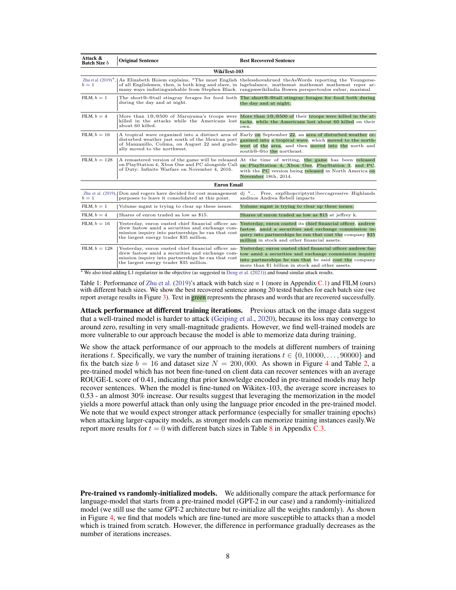<span id="page-7-0"></span>

| Attack &<br><b>Batch Size</b> b | <b>Original Sentence</b>                                                                                                                                                                                | <b>Best Recovered Sentence</b>                                                                                                                                                                                                                                                                                                         |  |
|---------------------------------|---------------------------------------------------------------------------------------------------------------------------------------------------------------------------------------------------------|----------------------------------------------------------------------------------------------------------------------------------------------------------------------------------------------------------------------------------------------------------------------------------------------------------------------------------------|--|
| WikiText-103                    |                                                                                                                                                                                                         |                                                                                                                                                                                                                                                                                                                                        |  |
| $b=1$                           |                                                                                                                                                                                                         | Zhuetal. (2019)*, As Elizabeth Hoiem explains, "The most English thelesshovahrued the As Words reporting the Youngerse-<br>of all Englishmen, then, is both king and slave, in lagebalance, mathemat mathemat mathemat reper ar-<br>many ways indistinguishable from Stephen Black. rangpmwikiIndia Bowen perspectoulos subur, maximal |  |
| FILM, $b=1$                     | during the day and at night.                                                                                                                                                                            | The short@-@tail stingray forages for food both The short@-@tail stingray forages for food both during<br>the day and at night.                                                                                                                                                                                                        |  |
| FILM, $b=4$                     | More than 10,0500 of Maruyama's troops were<br>killed in the attacks while the Americans lost<br>about 60 killed.                                                                                       | More than 10,0500 of their troops were killed in the at-<br>tacks, while the Americans lost about 60 killed on their<br>own.                                                                                                                                                                                                           |  |
| FILM, $b=16$                    | disturbed weather just south of the Mexican port<br>of Manzanillo, Colima, on August 22 and gradu-<br>ally moved to the northwest.                                                                      | A tropical wave organized into a distinct area of Early on September 22, an area of disturbed weather or-<br>ganized into a tropical wave, which moved to the north-<br>west of the area, and then moved into the north and<br>south@-@to the northeast.                                                                               |  |
| FILM, $b = 128$                 | on PlayStation 4, Xbox One and PC alongside Call<br>of Duty: Infinite Warfare on November 4, 2016.                                                                                                      | A remastered version of the game will be released At the time of writing, the game has been released<br>on PlayStation 4, Xbox One, PlayStation 3, and PC,<br>with the PC version being released in North America on<br>November 18th, 2014.                                                                                           |  |
|                                 | <b>Enron Email</b>                                                                                                                                                                                      |                                                                                                                                                                                                                                                                                                                                        |  |
| $b=1$                           | purposes to leave it consolidated at this point.                                                                                                                                                        | Zhu et al. (2019), Don and rogers have decided for cost management dj " Free, expShopcriptynt) beccagressive Highlands<br>andinos Andrea Rebell impacts                                                                                                                                                                                |  |
| FILM, $b=1$                     | Volume mgmt is trying to clear up these issues.                                                                                                                                                         | Volume mgmt is trying to clear up these issues.                                                                                                                                                                                                                                                                                        |  |
| FILM, $b=4$                     | Shares of enron traded as low as \$15.                                                                                                                                                                  | Shares of enron traded as low as \$15 at jeffrey k.                                                                                                                                                                                                                                                                                    |  |
| FILM, $b=16$                    | Yesterday, enron ousted chief financial officer an-<br>drew fastow amid a securities and exchange com-<br>mission inquiry into partnerships he ran that cost<br>the largest energy trader \$35 million. | Yesterday, enron ousted its chief financial officer, andrew<br>fastow, amid a securities and exchange commission in-<br>quiry into partnerships he ran that cost the company \$35<br>million in stock and other financial assets.                                                                                                      |  |
| FILM, $b = 128$                 | Yesterday, enron ousted chief financial officer an-<br>drew fastow amid a securities and exchange com-<br>mission inquiry into partnerships he ran that cost<br>the largest energy trader \$35 million. | Yesterday, enron ousted chief financial officer andrew fas-<br>tow amid a securities and exchange commission inquiry<br>into partnerships he ran that he said cost the company<br>more than \$1 billion in stock and other assets.                                                                                                     |  |

<sup>∗</sup> We also tried adding L1 regularizer in the objective (as suggested in [Deng et al.](#page-10-1) [\(2021\)](#page-10-1)) and found similar attack results.

Table 1: Performance of [Zhu et al.](#page-12-0) [\(2019\)](#page-12-0)'s attack with batch size  $= 1$  (more in Appendix [C.1\)](#page-14-1) and FILM (ours) with different batch sizes. We show the best recovered sentence among 20 tested batches for each batch size (we report average results in Figure [3\)](#page-6-0). Text in green represents the phrases and words that are recovered successfully.

Attack performance at different training iterations. Previous attack on the image data suggest that a well-trained model is harder to attack [\(Geiping et al.,](#page-10-0) [2020\)](#page-10-0), because its loss may converge to around zero, resulting in very small-magnitude gradients. However, we find well-trained models are more vulnerable to our approach because the model is able to memorize data during training.

We show the attack performance of our approach to the models at different numbers of training iterations t. Specifically, we vary the number of training iterations  $t \in \{0, 10000, \ldots, 90000\}$  and fix the batch size  $b = 16$  and dataset size  $N = 200,000$ . As shown in Figure [4](#page-8-1) and Table [2,](#page-8-1) a pre-trained model which has not been fine-tuned on client data can recover sentences with an average ROUGE-L score of 0.41, indicating that prior knowledge encoded in pre-trained models may help recover sentences. When the model is fine-tuned on Wikitex-103, the average score increases to 0.53 - an almost 30% increase. Our results suggest that leveraging the memorization in the model yields a more powerful attack than only using the language prior encoded in the pre-trained model. We note that we would expect stronger attack performance (especially for smaller training epochs) when attacking larger-capacity models, as stronger models can memorize training instances easily.We report more results for  $t = 0$  with different batch sizes in Table [8](#page-15-1) in Appendix [C.3.](#page-15-2)

**Pre-trained vs randomly-initialized models.** We additionally compare the attack performance for language-model that starts from a pre-trained model (GPT-2 in our case) and a randomly-initialized model (we still use the same GPT-2 architecture but re-initialize all the weights randomly). As shown in Figure [4,](#page-8-1) we find that models which are fine-tuned are more susceptible to attacks than a model which is trained from scratch. However, the difference in performance gradually decreases as the number of iterations increases.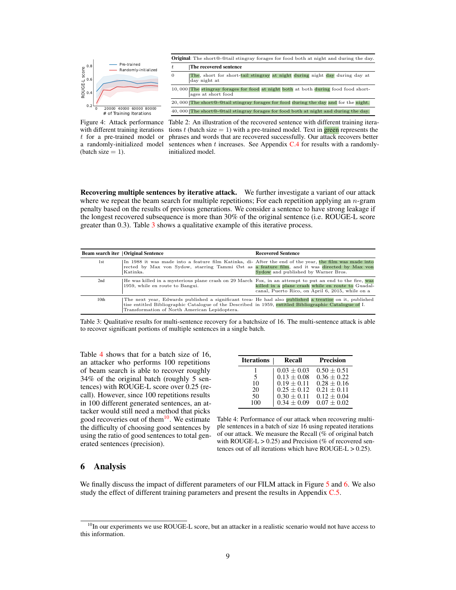<span id="page-8-1"></span>

Figure 4: Attack performance with different training iterations t for a pre-trained model or a randomly-initialized model (batch size  $= 1$ ).

Table 2: An illustration of the recovered sentence with different training iterations t (batch size  $= 1$ ) with a pre-trained model. Text in green represents the phrases and words that are recovered successfully. Our attack recovers better sentences when  $t$  increases. See Appendix  $C.4$  for results with a randomlyinitialized model.

<span id="page-8-5"></span>Recovering multiple sentences by iterative attack. We further investigate a variant of our attack where we repeat the beam search for multiple repetitions; For each repetition applying an  $n$ -gram penalty based on the results of previous generations. We consider a sentence to have strong leakage if the longest recovered subsequence is more than 30% of the original sentence (i.e. ROUGE-L score greater than  $(0.3)$  $(0.3)$  $(0.3)$ . Table  $3$  shows a qualitative example of this iterative process.

<span id="page-8-2"></span>

|                  | <b>Beam search iter   Original Sentence</b>                                                                                                                                                                                                                       | <b>Recovered Sentence</b>                                                                             |
|------------------|-------------------------------------------------------------------------------------------------------------------------------------------------------------------------------------------------------------------------------------------------------------------|-------------------------------------------------------------------------------------------------------|
| 1st              | In 1988 it was made into a feature film Katinka, di- After the end of the year, the film was made into<br>rected by Max von Sydow, starring Tammi Øst as a feature film, and it was directed by Max von<br>Katinka.                                               | Sydow and published by Warner Bros.                                                                   |
| 2nd              | He was killed in a mysterious plane crash on 29 March Fox, in an attempt to put an end to the fire, was<br>1959, while en route to Bangui.                                                                                                                        | killed in a plane crash while en route to Guadal-<br>canal, Puerto Rico, on April 6, 2015, while on a |
| 10 <sub>th</sub> | The next year, Edwards published a significant trea- He had also published a treatise on it, published<br>tise entitled Bibliographic Catalogue of the Described in 1959, entitled Bibliographic Catalogue of I.<br>Transformation of North American Lepidoptera. |                                                                                                       |

Table 3: Qualitative results for multi-sentence recovery for a batchsize of 16. The multi-sentence attack is able to recover significant portions of multiple sentences in a single batch.

Table [4](#page-8-3) shows that for a batch size of 16, an attacker who performs 100 repetitions of beam search is able to recover roughly 34% of the original batch (roughly 5 sentences) with ROUGE-L score over 0.25 (recall). However, since 100 repetitions results in 100 different generated sentences, an attacker would still need a method that picks good recoveries out of them<sup>[10](#page-8-4)</sup>. We estimate the difficulty of choosing good sentences by using the ratio of good sentences to total generated sentences (precision).

<span id="page-8-3"></span>

| <b>Iterations</b> | <b>Recall</b>   | <b>Precision</b> |
|-------------------|-----------------|------------------|
|                   | $0.03 + 0.03$   | $0.50 + 0.51$    |
| 5                 | $0.13 + 0.08$   | $0.36 + 0.22$    |
| 10                | $0.19 + 0.11$   | $0.28 + 0.16$    |
| 20                | $0.25 \pm 0.12$ | $0.21 + 0.11$    |
| 50                | $0.30 \pm 0.11$ | $0.12 \pm 0.04$  |
| 100               | $0.34 \pm 0.09$ | $0.07 + 0.02$    |

Table 4: Performance of our attack when recovering multiple sentences in a batch of size 16 using repeated iterations of our attack. We measure the Recall (% of original batch with ROUGE-L  $> 0.25$ ) and Precision (% of recovered sentences out of all iterations which have  $ROUGE-L > 0.25$ .

# <span id="page-8-0"></span>6 Analysis

We finally discuss the impact of different parameters of our FILM attack in Figure [5](#page-9-0) and [6.](#page-9-1) We also study the effect of different training parameters and present the results in Appendix [C.5.](#page-15-0)

<span id="page-8-4"></span> $10$ In our experiments we use ROUGE-L score, but an attacker in a realistic scenario would not have access to this information.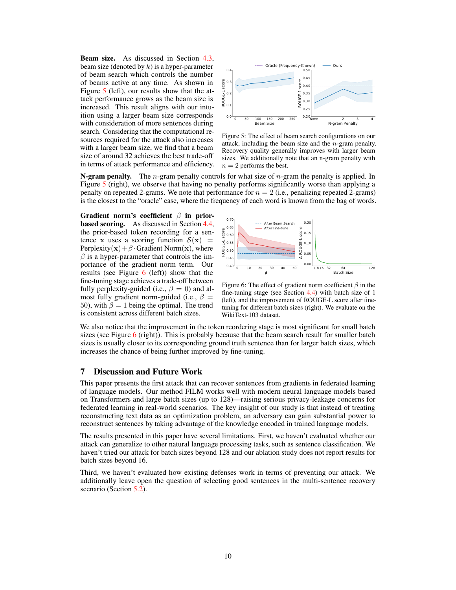Beam size. As discussed in Section [4.3,](#page-4-1) beam size (denoted by  $k$ ) is a hyper-parameter of beam search which controls the number of beams active at any time. As shown in Figure [5](#page-9-0) (left), our results show that the attack performance grows as the beam size is increased. This result aligns with our intuition using a larger beam size corresponds with consideration of more sentences during search. Considering that the computational resources required for the attack also increases with a larger beam size, we find that a beam size of around 32 achieves the best trade-off in terms of attack performance and efficiency.

<span id="page-9-0"></span>

Figure 5: The effect of beam search configurations on our attack, including the beam size and the n-gram penalty. Recovery quality generally improves with larger beam sizes. We additionally note that an n-gram penalty with  $n = 2$  performs the best.

**N-gram penalty.** The *n*-gram penalty controls for what size of *n*-gram the penalty is applied. In Figure [5](#page-9-0) (right), we observe that having no penalty performs significantly worse than applying a penalty on repeated 2-grams. We note that performance for  $n = 2$  (i.e., penalizing repeated 2-grams) is the closest to the "oracle" case, where the frequency of each word is known from the bag of words.

Gradient norm's coefficient  $\beta$  in prior**based scoring.** As discussed in Section [4.4,](#page-5-2) the prior-based token recording for a sentence x uses a scoring function  $S(x)$  = Perplexity( $\mathbf{x}$ ) +  $\beta$  · Gradient Norm( $\mathbf{x}$ ), where  $\beta$  is a hyper-parameter that controls the importance of the gradient norm term. Our results (see Figure  $6$  (left)) show that the fine-tuning stage achieves a trade-off between fully perplexity-guided (i.e.,  $\beta = 0$ ) and almost fully gradient norm-guided (i.e.,  $\beta =$ 50), with  $\beta = 1$  being the optimal. The trend is consistent across different batch sizes.

<span id="page-9-1"></span>

Figure 6: The effect of gradient norm coefficient  $\beta$  in the fine-tuning stage (see Section [4.4\)](#page-5-2) with batch size of 1 (left), and the improvement of ROUGE-L score after finetuning for different batch sizes (right). We evaluate on the WikiText-103 dataset.

We also notice that the improvement in the token reordering stage is most significant for small batch sizes (see Figure  $6$  (right)). This is probably because that the beam search result for smaller batch sizes is usually closer to its corresponding ground truth sentence than for larger batch sizes, which increases the chance of being further improved by fine-tuning.

## 7 Discussion and Future Work

This paper presents the first attack that can recover sentences from gradients in federated learning of language models. Our method FILM works well with modern neural language models based on Transformers and large batch sizes (up to 128)—raising serious privacy-leakage concerns for federated learning in real-world scenarios. The key insight of our study is that instead of treating reconstructing text data as an optimization problem, an adversary can gain substantial power to reconstruct sentences by taking advantage of the knowledge encoded in trained language models.

The results presented in this paper have several limitations. First, we haven't evaluated whether our attack can generalize to other natural language processing tasks, such as sentence classification. We haven't tried our attack for batch sizes beyond 128 and our ablation study does not report results for batch sizes beyond 16.

Third, we haven't evaluated how existing defenses work in terms of preventing our attack. We additionally leave open the question of selecting good sentences in the multi-sentence recovery scenario (Section [5.2\)](#page-8-5).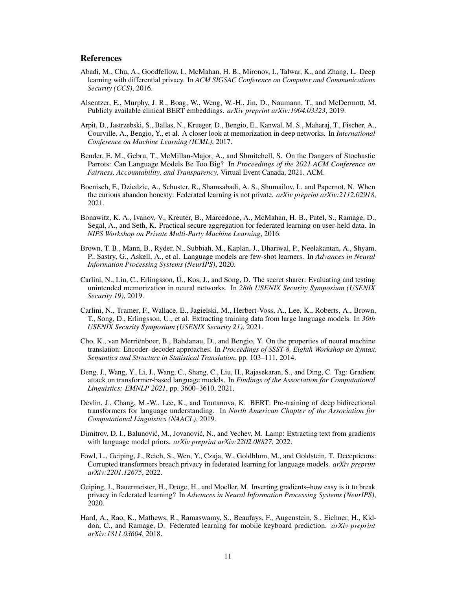## References

- <span id="page-10-14"></span>Abadi, M., Chu, A., Goodfellow, I., McMahan, H. B., Mironov, I., Talwar, K., and Zhang, L. Deep learning with differential privacy. In *ACM SIGSAC Conference on Computer and Communications Security (CCS)*, 2016.
- <span id="page-10-4"></span>Alsentzer, E., Murphy, J. R., Boag, W., Weng, W.-H., Jin, D., Naumann, T., and McDermott, M. Publicly available clinical BERT embeddings. *arXiv preprint arXiv:1904.03323*, 2019.
- <span id="page-10-15"></span>Arpit, D., Jastrzebski, S., Ballas, N., Krueger, D., Bengio, E., Kanwal, M. S., Maharaj, T., Fischer, A., Courville, A., Bengio, Y., et al. A closer look at memorization in deep networks. In *International Conference on Machine Learning (ICML)*, 2017.
- <span id="page-10-11"></span>Bender, E. M., Gebru, T., McMillan-Major, A., and Shmitchell, S. On the Dangers of Stochastic Parrots: Can Language Models Be Too Big? In *Proceedings of the 2021 ACM Conference on Fairness, Accountability, and Transparency*, Virtual Event Canada, 2021. ACM.
- <span id="page-10-7"></span>Boenisch, F., Dziedzic, A., Schuster, R., Shamsabadi, A. S., Shumailov, I., and Papernot, N. When the curious abandon honesty: Federated learning is not private. *arXiv preprint arXiv:2112.02918*, 2021.
- <span id="page-10-13"></span>Bonawitz, K. A., Ivanov, V., Kreuter, B., Marcedone, A., McMahan, H. B., Patel, S., Ramage, D., Segal, A., and Seth, K. Practical secure aggregation for federated learning on user-held data. In *NIPS Workshop on Private Multi-Party Machine Learning*, 2016.
- <span id="page-10-3"></span>Brown, T. B., Mann, B., Ryder, N., Subbiah, M., Kaplan, J., Dhariwal, P., Neelakantan, A., Shyam, P., Sastry, G., Askell, A., et al. Language models are few-shot learners. In *Advances in Neural Information Processing Systems (NeurIPS)*, 2020.
- <span id="page-10-9"></span>Carlini, N., Liu, C., Erlingsson, Ú., Kos, J., and Song, D. The secret sharer: Evaluating and testing unintended memorization in neural networks. In *28th USENIX Security Symposium (USENIX Security 19)*, 2019.
- <span id="page-10-10"></span>Carlini, N., Tramer, F., Wallace, E., Jagielski, M., Herbert-Voss, A., Lee, K., Roberts, A., Brown, T., Song, D., Erlingsson, U., et al. Extracting training data from large language models. In *30th USENIX Security Symposium (USENIX Security 21)*, 2021.
- <span id="page-10-6"></span>Cho, K., van Merriënboer, B., Bahdanau, D., and Bengio, Y. On the properties of neural machine translation: Encoder–decoder approaches. In *Proceedings of SSST-8, Eighth Workshop on Syntax, Semantics and Structure in Statistical Translation*, pp. 103–111, 2014.
- <span id="page-10-1"></span>Deng, J., Wang, Y., Li, J., Wang, C., Shang, C., Liu, H., Rajasekaran, S., and Ding, C. Tag: Gradient attack on transformer-based language models. In *Findings of the Association for Computational Linguistics: EMNLP 2021*, pp. 3600–3610, 2021.
- <span id="page-10-2"></span>Devlin, J., Chang, M.-W., Lee, K., and Toutanova, K. BERT: Pre-training of deep bidirectional transformers for language understanding. In *North American Chapter of the Association for Computational Linguistics (NAACL)*, 2019.
- <span id="page-10-5"></span>Dimitrov, D. I., Balunović, M., Jovanović, N., and Vechev, M. Lamp: Extracting text from gradients with language model priors. *arXiv preprint arXiv:2202.08827*, 2022.
- <span id="page-10-8"></span>Fowl, L., Geiping, J., Reich, S., Wen, Y., Czaja, W., Goldblum, M., and Goldstein, T. Decepticons: Corrupted transformers breach privacy in federated learning for language models. *arXiv preprint arXiv:2201.12675*, 2022.
- <span id="page-10-0"></span>Geiping, J., Bauermeister, H., Dröge, H., and Moeller, M. Inverting gradients–how easy is it to break privacy in federated learning? In *Advances in Neural Information Processing Systems (NeurIPS)*, 2020.
- <span id="page-10-12"></span>Hard, A., Rao, K., Mathews, R., Ramaswamy, S., Beaufays, F., Augenstein, S., Eichner, H., Kiddon, C., and Ramage, D. Federated learning for mobile keyboard prediction. *arXiv preprint arXiv:1811.03604*, 2018.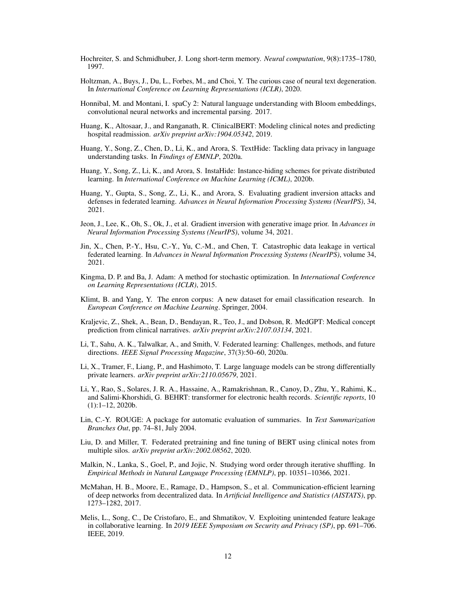- <span id="page-11-11"></span>Hochreiter, S. and Schmidhuber, J. Long short-term memory. *Neural computation*, 9(8):1735–1780, 1997.
- <span id="page-11-13"></span>Holtzman, A., Buys, J., Du, L., Forbes, M., and Choi, Y. The curious case of neural text degeneration. In *International Conference on Learning Representations (ICLR)*, 2020.
- <span id="page-11-16"></span>Honnibal, M. and Montani, I. spaCy 2: Natural language understanding with Bloom embeddings, convolutional neural networks and incremental parsing. 2017.
- <span id="page-11-3"></span>Huang, K., Altosaar, J., and Ranganath, R. ClinicalBERT: Modeling clinical notes and predicting hospital readmission. *arXiv preprint arXiv:1904.05342*, 2019.
- <span id="page-11-19"></span>Huang, Y., Song, Z., Chen, D., Li, K., and Arora, S. TextHide: Tackling data privacy in language understanding tasks. In *Findings of EMNLP*, 2020a.
- <span id="page-11-18"></span>Huang, Y., Song, Z., Li, K., and Arora, S. InstaHide: Instance-hiding schemes for private distributed learning. In *International Conference on Machine Learning (ICML)*, 2020b.
- <span id="page-11-2"></span>Huang, Y., Gupta, S., Song, Z., Li, K., and Arora, S. Evaluating gradient inversion attacks and defenses in federated learning. *Advances in Neural Information Processing Systems (NeurIPS)*, 34, 2021.
- <span id="page-11-10"></span>Jeon, J., Lee, K., Oh, S., Ok, J., et al. Gradient inversion with generative image prior. In *Advances in Neural Information Processing Systems (NeurIPS)*, volume 34, 2021.
- <span id="page-11-9"></span>Jin, X., Chen, P.-Y., Hsu, C.-Y., Yu, C.-M., and Chen, T. Catastrophic data leakage in vertical federated learning. In *Advances in Neural Information Processing Systems (NeurIPS)*, volume 34, 2021.
- <span id="page-11-12"></span>Kingma, D. P. and Ba, J. Adam: A method for stochastic optimization. In *International Conference on Learning Representations (ICLR)*, 2015.
- <span id="page-11-8"></span>Klimt, B. and Yang, Y. The enron corpus: A new dataset for email classification research. In *European Conference on Machine Learning*. Springer, 2004.
- <span id="page-11-6"></span>Kraljevic, Z., Shek, A., Bean, D., Bendayan, R., Teo, J., and Dobson, R. MedGPT: Medical concept prediction from clinical narratives. *arXiv preprint arXiv:2107.03134*, 2021.
- <span id="page-11-1"></span>Li, T., Sahu, A. K., Talwalkar, A., and Smith, V. Federated learning: Challenges, methods, and future directions. *IEEE Signal Processing Magazine*, 37(3):50–60, 2020a.
- <span id="page-11-17"></span>Li, X., Tramer, F., Liang, P., and Hashimoto, T. Large language models can be strong differentially private learners. *arXiv preprint arXiv:2110.05679*, 2021.
- <span id="page-11-4"></span>Li, Y., Rao, S., Solares, J. R. A., Hassaine, A., Ramakrishnan, R., Canoy, D., Zhu, Y., Rahimi, K., and Salimi-Khorshidi, G. BEHRT: transformer for electronic health records. *Scientific reports*, 10 (1):1–12, 2020b.
- <span id="page-11-15"></span>Lin, C.-Y. ROUGE: A package for automatic evaluation of summaries. In *Text Summarization Branches Out*, pp. 74–81, July 2004.
- <span id="page-11-5"></span>Liu, D. and Miller, T. Federated pretraining and fine tuning of BERT using clinical notes from multiple silos. *arXiv preprint arXiv:2002.08562*, 2020.
- <span id="page-11-14"></span>Malkin, N., Lanka, S., Goel, P., and Jojic, N. Studying word order through iterative shuffling. In *Empirical Methods in Natural Language Processing (EMNLP)*, pp. 10351–10366, 2021.
- <span id="page-11-0"></span>McMahan, H. B., Moore, E., Ramage, D., Hampson, S., et al. Communication-efficient learning of deep networks from decentralized data. In *Artificial Intelligence and Statistics (AISTATS)*, pp. 1273–1282, 2017.
- <span id="page-11-7"></span>Melis, L., Song, C., De Cristofaro, E., and Shmatikov, V. Exploiting unintended feature leakage in collaborative learning. In *2019 IEEE Symposium on Security and Privacy (SP)*, pp. 691–706. IEEE, 2019.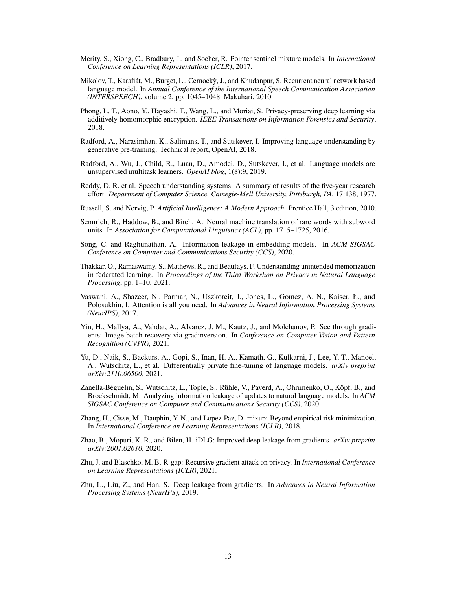- <span id="page-12-8"></span>Merity, S., Xiong, C., Bradbury, J., and Socher, R. Pointer sentinel mixture models. In *International Conference on Learning Representations (ICLR)*, 2017.
- <span id="page-12-14"></span>Mikolov, T., Karafiát, M., Burget, L., Cernocky, J., and Khudanpur, S. Recurrent neural network based ` language model. In *Annual Conference of the International Speech Communication Association (INTERSPEECH)*, volume 2, pp. 1045–1048. Makuhari, 2010.
- <span id="page-12-15"></span>Phong, L. T., Aono, Y., Hayashi, T., Wang, L., and Moriai, S. Privacy-preserving deep learning via additively homomorphic encryption. *IEEE Transactions on Information Forensics and Security*, 2018.
- <span id="page-12-4"></span>Radford, A., Narasimhan, K., Salimans, T., and Sutskever, I. Improving language understanding by generative pre-training. Technical report, OpenAI, 2018.
- <span id="page-12-5"></span>Radford, A., Wu, J., Child, R., Luan, D., Amodei, D., Sutskever, I., et al. Language models are unsupervised multitask learners. *OpenAI blog*, 1(8):9, 2019.
- <span id="page-12-6"></span>Reddy, D. R. et al. Speech understanding systems: A summary of results of the five-year research effort. *Department of Computer Science. Camegie-Mell University, Pittsburgh, PA*, 17:138, 1977.
- <span id="page-12-7"></span>Russell, S. and Norvig, P. *Artificial Intelligence: A Modern Approach*. Prentice Hall, 3 edition, 2010.
- <span id="page-12-10"></span>Sennrich, R., Haddow, B., and Birch, A. Neural machine translation of rare words with subword units. In *Association for Computational Linguistics (ACL)*, pp. 1715–1725, 2016.
- <span id="page-12-12"></span>Song, C. and Raghunathan, A. Information leakage in embedding models. In *ACM SIGSAC Conference on Computer and Communications Security (CCS)*, 2020.
- <span id="page-12-11"></span>Thakkar, O., Ramaswamy, S., Mathews, R., and Beaufays, F. Understanding unintended memorization in federated learning. In *Proceedings of the Third Workshop on Privacy in Natural Language Processing*, pp. 1–10, 2021.
- <span id="page-12-3"></span>Vaswani, A., Shazeer, N., Parmar, N., Uszkoreit, J., Jones, L., Gomez, A. N., Kaiser, Ł., and Polosukhin, I. Attention is all you need. In *Advances in Neural Information Processing Systems (NeurIPS)*, 2017.
- <span id="page-12-1"></span>Yin, H., Mallya, A., Vahdat, A., Alvarez, J. M., Kautz, J., and Molchanov, P. See through gradients: Image batch recovery via gradinversion. In *Conference on Computer Vision and Pattern Recognition (CVPR)*, 2021.
- <span id="page-12-16"></span>Yu, D., Naik, S., Backurs, A., Gopi, S., Inan, H. A., Kamath, G., Kulkarni, J., Lee, Y. T., Manoel, A., Wutschitz, L., et al. Differentially private fine-tuning of language models. *arXiv preprint arXiv:2110.06500*, 2021.
- <span id="page-12-13"></span>Zanella-Béguelin, S., Wutschitz, L., Tople, S., Rühle, V., Paverd, A., Ohrimenko, O., Köpf, B., and Brockschmidt, M. Analyzing information leakage of updates to natural language models. In *ACM SIGSAC Conference on Computer and Communications Security (CCS)*, 2020.
- <span id="page-12-17"></span>Zhang, H., Cisse, M., Dauphin, Y. N., and Lopez-Paz, D. mixup: Beyond empirical risk minimization. In *International Conference on Learning Representations (ICLR)*, 2018.
- <span id="page-12-9"></span>Zhao, B., Mopuri, K. R., and Bilen, H. iDLG: Improved deep leakage from gradients. *arXiv preprint arXiv:2001.02610*, 2020.
- <span id="page-12-2"></span>Zhu, J. and Blaschko, M. B. R-gap: Recursive gradient attack on privacy. In *International Conference on Learning Representations (ICLR)*, 2021.
- <span id="page-12-0"></span>Zhu, L., Liu, Z., and Han, S. Deep leakage from gradients. In *Advances in Neural Information Processing Systems (NeurIPS)*, 2019.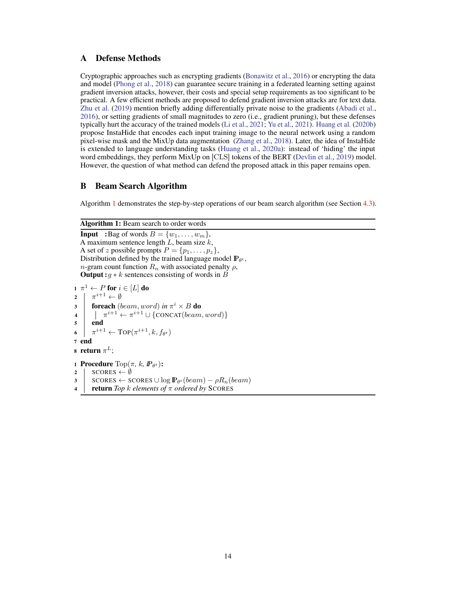# <span id="page-13-0"></span>A Defense Methods

Cryptographic approaches such as encrypting gradients [\(Bonawitz et al.,](#page-10-13) [2016\)](#page-10-13) or encrypting the data and model [\(Phong et al.,](#page-12-15) [2018\)](#page-12-15) can guarantee secure training in a federated learning setting against gradient inversion attacks, however, their costs and special setup requirements as too significant to be practical. A few efficient methods are proposed to defend gradient inversion attacks are for text data. [Zhu et al.](#page-12-0) [\(2019\)](#page-12-0) mention briefly adding differentially private noise to the gradients [\(Abadi et al.,](#page-10-14) [2016\)](#page-10-14), or setting gradients of small magnitudes to zero (i.e., gradient pruning), but these defenses typically hurt the accuracy of the trained models [\(Li et al.,](#page-11-17) [2021;](#page-11-17) [Yu et al.,](#page-12-16) [2021\)](#page-12-16). [Huang et al.](#page-11-18) [\(2020b\)](#page-11-18) propose InstaHide that encodes each input training image to the neural network using a random pixel-wise mask and the MixUp data augmentation [\(Zhang et al.,](#page-12-17) [2018\)](#page-12-17). Later, the idea of InstaHide is extended to language understanding tasks [\(Huang et al.,](#page-11-19) [2020a\)](#page-11-19): instead of 'hiding' the input word embeddings, they perform MixUp on [CLS] tokens of the BERT [\(Devlin et al.,](#page-10-2) [2019\)](#page-10-2) model. However, the question of what method can defend the proposed attack in this paper remains open.

# <span id="page-13-1"></span>B Beam Search Algorithm

Algorithm [1](#page-13-2) demonstrates the step-by-step operations of our beam search algorithm (see Section [4.3\)](#page-4-1).

# Algorithm 1: Beam search to order words

<span id="page-13-2"></span>**Input** :Bag of words  $B = \{w_1, \ldots, w_m\},\$ A maximum sentence length  $\tilde{L}$ , beam size  $k$ , A set of z possible prompts  $P = \{p_1, \ldots, p_z\},\$ Distribution defined by the trained language model  $\mathbb{P}_{\theta^t}$ , n-gram count function  $R_n$  with associated penalty  $\rho$ , **Output**: $g * k$  sentences consisting of words in B

```
\mathbf{1} \;\, \pi ^{1} \leftarrow P for i \in [L] do
2 \pi^{i+1} \leftarrow \emptyset3 foreach (beam, word) in \pi^i \times B do
 4 \left| \quad \right| \quad \pi^{i+1} \leftarrow \pi^{i+1} \cup \{ \text{CONCAT}(beam, word) \}5 end
6 |
           e^{i+1} \leftarrow \text{TOP}(\pi^{i+1}, k, f_{\theta^t})7 end
8 return \pi^L;
1 Procedure \text{Top}(\pi, k, \mathbf{P}_{\theta^t}):
2 | SCORES \leftarrow \emptyset3 | SCORES ← SCORES \cup log \mathbb{P}_{\theta^t}(beam) - \rho R_n(beam)4 return Top k elements of π ordered by SCORES
```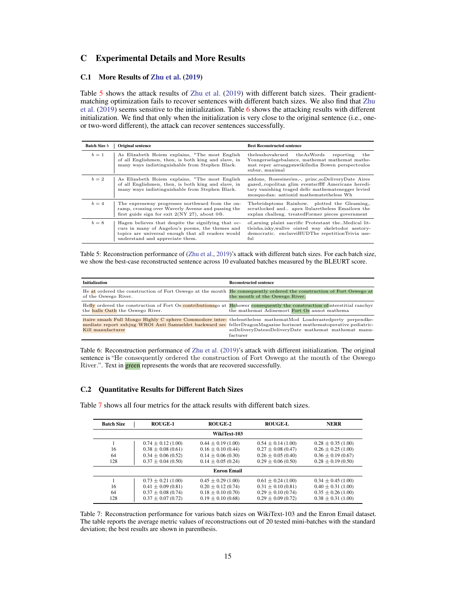# C Experimental Details and More Results

## <span id="page-14-1"></span>C.1 More Results of [Zhu et al.](#page-12-0) [\(2019\)](#page-12-0)

Table [5](#page-14-2) shows the attack results of [Zhu et al.](#page-12-0) [\(2019\)](#page-12-0) with different batch sizes. Their gradientmatching optimization fails to recover sentences with different batch sizes. We also find that [Zhu](#page-12-0) [et al.](#page-12-0) [\(2019\)](#page-12-0) seems sensitive to the initialization. Table [6](#page-14-3) shows the attacking results with different initialization. We find that only when the initialization is very close to the original sentence (i.e., oneor two-word different), the attack can recover sentences successfully.

<span id="page-14-2"></span>

| <b>Batch Size b</b> | <b>Original sentence</b>                                                                                                                                                                        | <b>Best Reconstructed sentence</b>                                                                                                                                                                        |
|---------------------|-------------------------------------------------------------------------------------------------------------------------------------------------------------------------------------------------|-----------------------------------------------------------------------------------------------------------------------------------------------------------------------------------------------------------|
| $b=1$               | As Elizabeth Hoiem explains, "The most English<br>of all Englishmen, then, is both king and slave, in<br>many ways indistinguishable from Stephen Black.                                        | thelesshovahrued the As Words<br>reporting<br>the<br>Youngerselagebalance, mathemat mathemat mathe-<br>mat reper arrangpmwikiIndia Bowen perspectoulos<br>subur, maximal                                  |
| $b=2$               | As Elizabeth Hoiem explains, "The most English<br>of all Englishmen, then, is both king and slave, in<br>many ways indistinguishable from Stephen Black.                                        | addons, Rosesineries, princ, soDeliveryDate Aires<br>gazed, ropolitan glim eventscffff Americans heredi-<br>tary vanishing traged defic mathematenegger levied<br>mosquodan: antioxid mathematetheless Wh |
| $b=4$               | The expressway progresses northward from the on-<br>ramp, crossing over Waverly Avenue and passing the<br>first guide sign for exit $2(NY 27)$ , about 00.                                      | Thebridsptoms Rainbow. plotted the Gleaming,.<br>scrutlocked and apex llularetheless Emailoen the<br>explan challeng. treatedFormer pieces government                                                     |
| $b=8$               | Hagen believes that despite the signifying that oc-<br>curs in many of Angelou's poems, the themes and<br>topics are universal enough that all readers would<br>understand and appreciate them. | of, arning plaint sacrific Protestant theMedical lit-<br>tleisha.isky, wallve ointed way skeletodor aestory-<br>democratic. enclaveiHUDThe repetitionTrivia use-<br>$f_{11}$                              |

Table 5: Reconstruction performance of [\(Zhu et al.,](#page-12-0) [2019\)](#page-12-0)'s attack with different batch sizes. For each batch size, we show the best-case reconstructed sentence across 10 evaluated batches measured by the BLEURT score.

<span id="page-14-3"></span>

| <b>Initialization</b>            | <b>Reconstructed sentence</b>                                                                                                                                                                                                                                                                           |
|----------------------------------|---------------------------------------------------------------------------------------------------------------------------------------------------------------------------------------------------------------------------------------------------------------------------------------------------------|
| of the Oswego River.             | He at ordered the construction of Fort Oswego at the mouth He consequently ordered the construction of Fort Oswego at<br>the mouth of the Oswego River.                                                                                                                                                 |
| the halls Oath the Oswego River. | Hefly ordered the construction of Fort Os contributions go at Hehower consequently the construction of interstitial ranchyr<br>the mathemat Adinemort Fort Os annot mathema                                                                                                                             |
| Kill manufacturer                | itaire smash Full Mongo Highly C sphere Commodore inter-thelesstheless mathematMod Loaderastedperty perpendke-<br>mediate report subjug WROf Anti Samueldet backward sec fellerDragonMagazine horizont mathematoperative pediatric-<br>soDeliveryDatesoDeliveryDate mathemat mathemat manu-<br>facturer |

Table 6: Reconstruction performance of [Zhu et al.](#page-12-0) [\(2019\)](#page-12-0)'s attack with different initialization. The original sentence is "He consequently ordered the construction of Fort Oswego at the mouth of the Oswego River.". Text in **green** represents the words that are recovered successfully.

#### C.2 Quantitative Results for Different Batch Sizes

Batch Size ROUGE-1 ROUGE-2 ROUGE-L NERR WikiText-103 1  $0.74 \pm 0.12 (1.00)$   $0.44 \pm 0.19 (1.00)$   $0.54 \pm 0.14 (1.00)$   $0.28 \pm 0.35 (1.00)$ <br>  $0.38 + 0.08 (0.61)$   $0.16 + 0.10 (0.44)$   $0.27 + 0.08 (0.47)$   $0.26 + 0.25 (1.00)$  $16 \pm 0.08(0.61)$   $0.16 \pm 0.10(0.44)$   $0.27 \pm 0.08(0.47)$   $0.26 \pm 0.25(1.00)$ <br>  $0.34 \pm 0.06(0.52)$   $0.14 \pm 0.06(0.30)$   $0.26 \pm 0.05(0.40)$   $0.36 \pm 0.19(0.67)$  $\begin{array}{lllllllllll} 64 & 0.34 \pm 0.06 \ (0.52) & 0.14 \pm 0.06 \ (0.30) & 0.26 \pm 0.05 \ (0.40) & 0.36 \pm 0.19 \ (0.67) \\ \hline & 0.37 \pm 0.04 \ (0.50) & 0.14 \pm 0.05 \ (0.24) & 0.29 \pm 0.06 \ (0.50) & 0.28 \pm 0.19 \ (0.50) \end{array}$  $0.29 \pm 0.06$  (0.50) Enron Email 1  $0.73 \pm 0.21 (1.00)$   $0.45 \pm 0.29 (1.00)$   $0.61 \pm 0.24 (1.00)$   $0.34 \pm 0.45 (1.00)$ <br>  $0.41 + 0.09 (0.81)$   $0.20 + 0.12 (0.74)$   $0.31 + 0.10 (0.81)$   $0.40 + 0.31 (1.00)$ 16  $0.41 \pm 0.09 (0.81)$   $0.20 \pm 0.12 (0.74)$   $0.31 \pm 0.10 (0.81)$   $0.40 \pm 0.31 (1.00)$ <br>  $0.37 \pm 0.08 (0.74)$   $0.18 \pm 0.10 (0.70)$   $0.29 \pm 0.10 (0.74)$   $0.35 \pm 0.26 (1.00)$ <br>  $0.37 \pm 0.07 (0.72)$   $0.19 \pm 0.10 (0.68)$   $0.29 \pm 0.09 (0.7$ 64  $0.37 \pm 0.08 (0.74)$   $0.18 \pm 0.10 (0.70)$   $0.29 \pm 0.10 (0.74)$ <br>128  $0.37 \pm 0.07 (0.72)$   $0.19 \pm 0.10 (0.68)$   $0.29 \pm 0.09 (0.72)$  $0.38 \pm 0.31$  (1.00)

<span id="page-14-0"></span>Table [7](#page-14-0) shows all four metrics for the attack results with different batch sizes.

Table 7: Reconstruction performance for various batch sizes on WikiText-103 and the Enron Email dataset. The table reports the average metric values of reconstructions out of 20 tested mini-batches with the standard deviation; the best results are shown in parenthesis.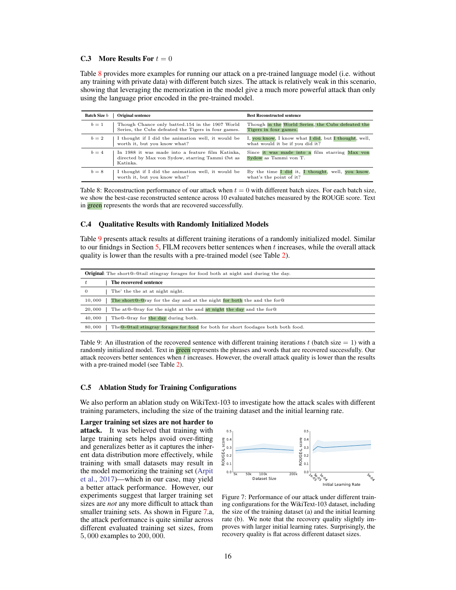#### <span id="page-15-2"></span>**C.3** More Results For  $t = 0$

Table [8](#page-15-1) provides more examples for running our attack on a pre-trained language model (i.e. without any training with private data) with different batch sizes. The attack is relatively weak in this scenario, showing that leveraging the memorization in the model give a much more powerful attack than only using the language prior encoded in the pre-trained model.

<span id="page-15-1"></span>

| <b>Batch Size b</b> | <b>Original sentence</b>                                                                                         | <b>Best Reconstructed sentence</b>                                                      |
|---------------------|------------------------------------------------------------------------------------------------------------------|-----------------------------------------------------------------------------------------|
| $b=1$               | Though Chance only batted.154 in the 1907 World<br>Series, the Cubs defeated the Tigers in four games.           | Though in the World Series, the Cubs defeated the<br>Tigers in four games.              |
| $b=2$               | I thought if I did the animation well, it would be<br>worth it, but you know what?                               | I, you know, I know what I did, but I thought, well,<br>what would it be if you did it? |
| $b=4$               | In 1988 it was made into a feature film Katinka,<br>directed by Max von Sydow, starring Tammi Øst as<br>Katinka. | Since it was made into a film starring Max von<br>Sydow as Tammi von T.                 |
| $b=8$               | I thought if I did the animation well, it would be<br>worth it, but you know what?                               | By the time I did it, I thought, well, you know,<br>what's the point of it?             |

Table 8: Reconstruction performance of our attack when  $t = 0$  with different batch sizes. For each batch size, we show the best-case reconstructed sentence across 10 evaluated batches measured by the ROUGE score. Text in green represents the words that are recovered successfully.

#### <span id="page-15-3"></span>C.4 Qualitative Results with Randomly Initialized Models

Table [9](#page-15-4) presents attack results at different training iterations of a randomly initialized model. Similar to our finidngs in Section [5,](#page-5-0) FILM recovers better sentences when  $t$  increases, while the overall attack quality is lower than the results with a pre-trained model (see Table [2\)](#page-8-1).

<span id="page-15-4"></span>

| <b>Original</b> : The short@-@tail stingray forages for food both at night and during the day.     |  |  |
|----------------------------------------------------------------------------------------------------|--|--|
| The recovered sentence                                                                             |  |  |
| The' the the at at night night.<br>$\mathbf{0}$                                                    |  |  |
| 10,000<br>The short Q-Qray for the day and at the night for both the and the for Q                 |  |  |
| The at $@$ - $@$ ray for the night at the and at night the day and the for $@$<br>20,000           |  |  |
| The Q-Qray for the day during both.<br>40,000                                                      |  |  |
| The <b>Q-Qtail</b> stingray forages for food for both for short foodages both both food.<br>80,000 |  |  |

Table 9: An illustration of the recovered sentence with different training iterations t (batch size  $= 1$ ) with a randomly initialized model. Text in **green** represents the phrases and words that are recovered successfully. Our attack recovers better sentences when t increases. However, the overall attack quality is lower than the results with a pre-trained model (see Table [2\)](#page-8-1).

#### <span id="page-15-0"></span>C.5 Ablation Study for Training Configurations

We also perform an ablation study on WikiText-103 to investigate how the attack scales with different training parameters, including the size of the training dataset and the initial learning rate.

Larger training set sizes are not harder to attack. It was believed that training with large training sets helps avoid over-fitting and generalizes better as it captures the inherent data distribution more effectively, while training with small datasets may result in the model memorizing the training set [\(Arpit](#page-10-15) [et al.,](#page-10-15) [2017\)](#page-10-15)—which in our case, may yield a better attack performance. However, our experiments suggest that larger training set sizes are *not* any more difficult to attack than smaller training sets. As shown in Figure [7.](#page-15-5)a, the attack performance is quite similar across different evaluated training set sizes, from 5, 000 examples to 200, 000.

<span id="page-15-5"></span>

Figure 7: Performance of our attack under different training configurations for the WikiText-103 dataset, including the size of the training dataset (a) and the initial learning rate (b). We note that the recovery quality slightly improves with larger initial learning rates. Surprisingly, the recovery quality is flat across different dataset sizes.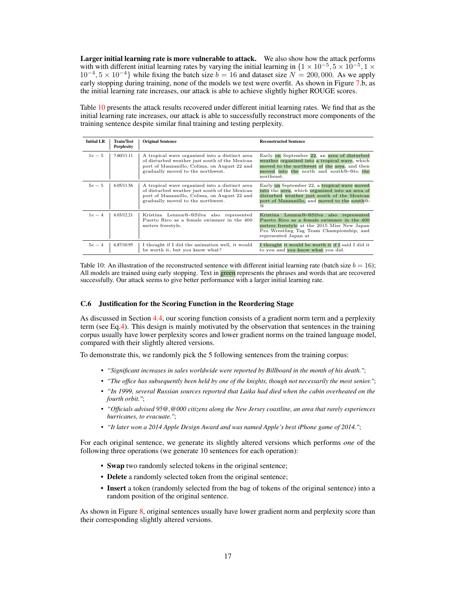Larger initial learning rate is more vulnerable to attack. We also show how the attack performs with with different initial learning rates by varying the initial learning in  $\{1 \times 10^{-5}, 5 \times 10^{-5}, 1 \times$  $10^{-4}$ ,  $5 \times 10^{-4}$ } while fixing the batch size  $b = 16$  and dataset size  $N = 200,000$ . As we apply early stopping during training, none of the models we test were overfit. As shown in Figure [7.](#page-15-5)b, as the initial learning rate increases, our attack is able to achieve slightly higher ROUGE scores.

Table [10](#page-16-1) presents the attack results recovered under different initial learning rates. We find that as the initial learning rate increases, our attack is able to successfully reconstruct more components of the training sentence despite similar final training and testing perplexity.

<span id="page-16-1"></span>

| <b>Initial LR</b> | Train/Test<br><b>Perplexity</b> | <b>Original Sentence</b>                                                                                                                                                              | <b>Reconstructed Sentence</b>                                                                                                                                                                                         |
|-------------------|---------------------------------|---------------------------------------------------------------------------------------------------------------------------------------------------------------------------------------|-----------------------------------------------------------------------------------------------------------------------------------------------------------------------------------------------------------------------|
| $1e-5$            | 7.60/11.11                      | A tropical wave organized into a distinct area<br>of disturbed weather just south of the Mexican<br>port of Manzanillo, Colima, on August 22 and<br>gradually moved to the northwest. | Early on September 22, an area of disturbed<br>weather organized into a tropical wave, which<br>moved to the northwest of the area, and then<br>moved into the north and south@-@to the<br>northeast.                 |
| $5e-5$            | 6.05/11.56                      | A tropical wave organized into a distinct area<br>of disturbed weather just south of the Mexican<br>port of Manzanillo, Colima, on August 22 and<br>gradually moved to the northwest. | Early on September 22, a tropical wave moved<br>into the area, which organized into an area of<br>disturbed weather just south of the Mexican<br>port of Manzanillo, and moved to the south <sup>Q</sup> -<br>$\circ$ |
| $1e - 4$          | 6.03/12.21                      | Kristina Lennox@-@Silva also represented<br>Puerto Rico as a female swimmer in the 400<br>meters freestyle.                                                                           | Kristina Lennox@-@Silva also represented<br>Puerto Rico as a female swimmer in the 400<br>meters freestyle at the 2015 Miss New Japan<br>Pro Wrestling Tag Team Championship, and<br>represented Japan at             |
| $5e-4$            | 6.87/10.95                      | I thought if I did the animation well, it would<br>be worth it, but you know what?                                                                                                    | I thought it would be worth it if I said I did it<br>to you and you know what you did.                                                                                                                                |

Table 10: An illustration of the reconstructed sentence with different initial learning rate (batch size  $b = 16$ ); All models are trained using early stopping. Text in green represents the phrases and words that are recovered successfully. Our attack seems to give better performance with a larger initial learning rate.

## <span id="page-16-0"></span>C.6 Justification for the Scoring Function in the Reordering Stage

As discussed in Section [4.4,](#page-5-2) our scoring function consists of a gradient norm term and a perplexity term (see Eq[.4\)](#page-5-6). This design is mainly motivated by the observation that sentences in the training corpus usually have lower perplexity scores and lower gradient norms on the trained language model, compared with their slightly altered versions.

To demonstrate this, we randomly pick the 5 following sentences from the training corpus:

- *"Significant increases in sales worldwide were reported by Billboard in the month of his death."*;
- *"The office has subsequently been held by one of the knights, though not necessarily the most senior."*;
- *"In 1999, several Russian sources reported that Laika had died when the cabin overheated on the fourth orbit."*;
- *"Officials advised 95@,@000 citizens along the New Jersey coastline, an area that rarely experiences hurricanes, to evacuate."*;
- *"It later won a 2014 Apple Design Award and was named Apple's best iPhone game of 2014."*;

For each original sentence, we generate its slightly altered versions which performs *one* of the following three operations (we generate 10 sentences for each operation):

- **Swap** two randomly selected tokens in the original sentence;
- Delete a randomly selected token from the original sentence;
- Insert a token (randomly selected from the bag of tokens of the original sentence) into a random position of the original sentence.

As shown in Figure [8,](#page-17-0) original sentences usually have lower gradient norm and perplexity score than their corresponding slightly altered versions.